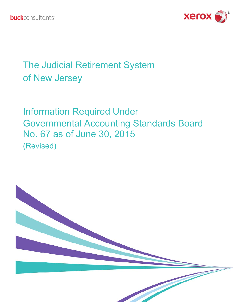

## The Judicial Retirement System of New Jersey

Information Required Under Governmental Accounting Standards Board No. 67 as of June 30, 2015 (Revised)

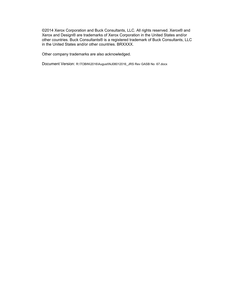©2014 Xerox Corporation and Buck Consultants, LLC. All rights reserved. Xerox® and Xerox and Design® are trademarks of Xerox Corporation in the United States and/or other countries. Buck Consultants® is a registered trademark of Buck Consultants, LLC in the United States and/or other countries. BRXXXX.

Other company trademarks are also acknowledged.

Document Version: R:\TOBIN\2016\August\NJ08012016\_JRS Rev GASB No 67.docx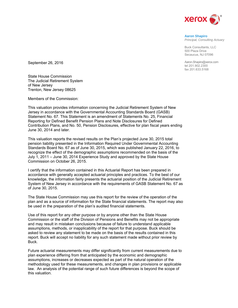

#### **Aaron Shapiro**  *Principal, Consulting Actuary*

Buck Consultants, LLC 500 Plaza Drive Secaucus, NJ 07096

Aaron.Shapiro@xerox.com tel 201.902.2300 fax 201.633.5168

September 26, 2016

State House Commission The Judicial Retirement System of New Jersey Trenton, New Jersey 08625

Members of the Commission:

This valuation provides information concerning the Judicial Retirement System of New Jersey in accordance with the Governmental Accounting Standards Board (GASB) Statement No. 67. This Statement is an amendment of Statements No. 25, Financial Reporting for Defined Benefit Pension Plans and Note Disclosures for Defined Contribution Plans, and No. 50, Pension Disclosures, effective for plan fiscal years ending June 30, 2014 and later.

This valuation reports the revised results on the Plan's projected June 30, 2015 total pension liability presented in the Information Required Under Governmental Accounting Standards Board No. 67 as of June 30, 2015, which was published January 22, 2016, to recognize the effect of the demographic assumptions recommended on the basis of the July 1, 2011 – June 30, 2014 Experience Study and approved by the State House Commission on October 26, 2015.

I certify that the information contained in this Actuarial Report has been prepared in accordance with generally accepted actuarial principles and practices. To the best of our knowledge, the information fairly presents the actuarial position of the Judicial Retirement System of New Jersey in accordance with the requirements of GASB Statement No. 67 as of June 30, 2015.

The State House Commission may use this report for the review of the operation of the plan and as a source of information for the State financial statements. The report may also be used in the preparation of the plan's audited financial statements.

Use of this report for any other purpose or by anyone other than the State House Commission or the staff of the Division of Pensions and Benefits may not be appropriate and may result in mistaken conclusions because of failure to understand applicable assumptions, methods, or inapplicability of the report for that purpose. Buck should be asked to review any statement to be made on the basis of the results contained in this report. Buck will accept no liability for any such statement made without prior review by Buck.

Future actuarial measurements may differ significantly from current measurements due to plan experience differing from that anticipated by the economic and demographic assumptions, increases or decreases expected as part of the natural operation of the methodology used for these measurements, and changes in plan provisions or applicable law. An analysis of the potential range of such future differences is beyond the scope of this valuation.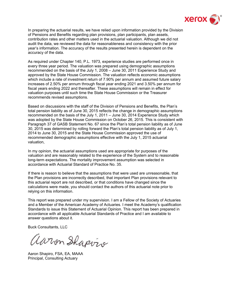

In preparing the actuarial results, we have relied upon information provided by the Division of Pensions and Benefits regarding plan provisions, plan participants, plan assets, contribution rates and other matters used in the actuarial valuation. Although we did not audit the data, we reviewed the data for reasonableness and consistency with the prior year's information. The accuracy of the results presented herein is dependent on the accuracy of the data.

As required under Chapter 140, P.L. 1973, experience studies are performed once in every three year period. The valuation was prepared using demographic assumptions recommended on the basis of the July 1, 2008 – June 30, 2011 Experience Study and approved by the State House Commission. The valuation reflects economic assumptions which include a rate of investment return of 7.90% per annum and assumed future salary increases of 2.50% per annum through fiscal year ending 2021 and 3.50% per annum for fiscal years ending 2022 and thereafter. These assumptions will remain in effect for valuation purposes until such time the State House Commission or the Treasurer recommends revised assumptions.

Based on discussions with the staff of the Division of Pensions and Benefits, the Plan's total pension liability as of June 30, 2015 reflects the change in demographic assumptions recommended on the basis of the July 1, 2011 – June 30, 2014 Experience Study which was adopted by the State House Commission on October 26, 2015. This is consistent with Paragraph 37 of GASB Statement No. 67 since the Plan's total pension liability as of June 30, 2015 was determined by rolling forward the Plan's total pension liability as of July 1, 2014 to June 30, 2015 and the State House Commission approved the use of recommended demographic assumptions effective with the July 1, 2015 actuarial valuation,

In my opinion, the actuarial assumptions used are appropriate for purposes of the valuation and are reasonably related to the experience of the System and to reasonable long-term expectations. The mortality improvement assumption was selected in accordance with Actuarial Standard of Practice No. 35.

If there is reason to believe that the assumptions that were used are unreasonable, that the Plan provisions are incorrectly described, that important Plan provisions relevant to this actuarial report are not described, or that conditions have changed since the calculations were made, you should contact the authors of this actuarial note prior to relying on this information.

This report was prepared under my supervision. I am a Fellow of the Society of Actuaries and a Member of the American Academy of Actuaries. I meet the Academy's qualification Standards to issue this Statement of Actuarial Opinion. This report has been prepared in accordance with all applicable Actuarial Standards of Practice and I am available to answer questions about it.

Buck Consultants, LLC

Wirm Shapviv

Aaron Shapiro, FSA, EA, MAAA Principal, Consulting Actuary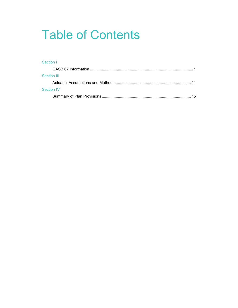# Table of Contents

## Section I GASB 67 Information ................................................................................................ 1 Section III Actuarial Assumptions and Methods ....................................................................... 11 Section IV Summary of Plan Provisions ................................................................................... 15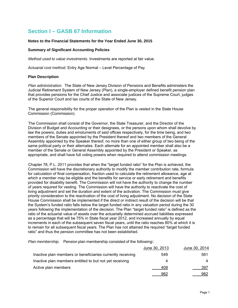## **Section I – GASB 67 Information**

#### **Notes to the Financial Statements for the Year Ended June 30, 2015**

#### **Summary of Significant Accounting Policies**

*Method used to value investments.* Investments are reported at fair value.

*Actuarial cost method*. Entry Age Normal – Level Percentage of Pay

#### **Plan Description**

*Plan administration.* The State of New Jersey Division of Pensions and Benefits administers the Judicial Retirement System of New Jersey (Plan), a single-employer defined benefit pension plan that provides pensions for the Chief Justice and associate justices of the Supreme Court, judges of the Superior Court and tax courts of the State of New Jersey.

The general responsibility for the proper operation of the Plan is vested in the State House Commission (Commission).

The Commission shall consist of the Governor, the State Treasurer, and the Director of the Division of Budget and Accounting or their designees, or the persons upon whom shall devolve by law the powers, duties and emoluments of said offices respectively, for the time being, and two members of the Senate appointed by the President thereof and two members of the General Assembly appointed by the Speaker thereof, no more than one of either group of two being of the same political party or their alternates. Each alternate for an appointed member shall also be a member of the Senate or General Assembly appointed by the President or Speaker, as appropriate, and shall have full voting powers when required to attend commission meetings.

Chapter 78, P.L. 2011 provides that when the "target funded ratio" for the Plan is achieved, the Commission will have the discretionary authority to modify the member contribution rate, formula for calculation of final compensation, fraction used to calculate the retirement allowance, age at which a member may be eligible and the benefits for service or early retirement and benefits provided for disability benefit. The Commission will not have the authority to change the number of years required for vesting. The Commission will have the authority to reactivate the cost of living adjustment and set the duration and extent of the activation. The Commission must give priority consideration to the reactivation of the cost of living adjustment. No decision of the State House Commission shall be implemented if the direct or indirect result of the decision will be that the System's funded ratio falls below the target funded ratio in any valuation period during the 30 years following the implementation of the decision. The Plan "target funded ratio" is defined as the ratio of the actuarial value of assets over the actuarially determined accrued liabilities expressed as a percentage that will be 75% in State fiscal year 2012, and increased annually by equal increments in each of the subsequent seven fiscal years, until the ratio reaches 80% at which it is to remain for all subsequent fiscal years. The Plan has not attained the required "target funded ratio" and thus the pension committee has not been established.

*Plan membership.* Pension plan membership consisted of the following:

|                                                            | June 30, 2013 | June 30, 2014 |
|------------------------------------------------------------|---------------|---------------|
| Inactive plan members or beneficiaries currently receiving | 549           | 561           |
| Inactive plan members entitled to but not yet receiving    | 4             |               |
| Active plan members                                        | 409           | 397           |
|                                                            | 962           | 962           |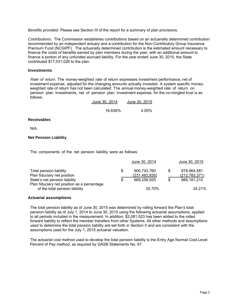*Benefits provided.* Please see Section III of the report for a summary of plan provisions.

*Contributions.* The Commission establishes contributions based on an actuarially determined contribution recommended by an independent actuary and a contribution for the Non-Contributory Group Insurance Premium Fund (NCGIPF). The actuarially determined contribution is the estimated amount necessary to finance the costs of benefits earned by plan members during the year, with an additional amount to finance a portion of any unfunded accrued liability. For the year ended June 30, 2015, the State contributed \$17,031,026 to the plan.

#### **Investments**

*Rate of return.* The money-weighted rate of return expresses investment performance, net of investment expense, adjusted for the changing amounts actually invested. A system specific moneyweighted rate of return has not been calculated. The annual money-weighted rate of return on pension plan investments, net of pension plan investment expense, for the co-mingled trust is as follows.

| June 30, 2014 | June 30, 2015 |
|---------------|---------------|
| 16.636%       | 4.05%         |

#### **Receivables**

N/A.

#### **Net Pension Liability**

The components of the net pension liability were as follows:

|                                                                              | June 30, 2014                  |     | June 30, 2015                  |
|------------------------------------------------------------------------------|--------------------------------|-----|--------------------------------|
| Total pension liability<br>Plan fiduciary net position                       | 900,743,760<br>(231, 483, 835) | \$. | 878,964,581<br>(212, 783, 371) |
| State's net pension liability<br>Plan fiduciary net position as a percentage | 669.259.925                    | \$  | 666.181.210                    |
| of the total pension liability                                               | 25.70%                         |     | 24.21%                         |

#### **Actuarial assumptions**

The total pension liability as of June 30, 2015 was determined by rolling forward the Plan's total pension liability as of July 1, 2014 to June 30, 2015 using the following actuarial assumptions, applied to all periods included in the measurement. In addition, \$2,081,523 has been added to the rolled forward liability to reflect the member transfers from other Systems. All other methods and assumptions used to determine the total pension liability are set forth in Section II and are consistent with the assumptions used for the July 1, 2015 actuarial valuation.

The actuarial cost method used to develop the total pension liability is the Entry Age Normal Cost-Level Percent of Pay method, as required by GASB Statements No. 67.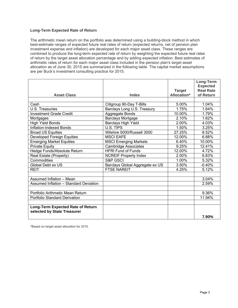#### **Long-Term Expected Rate of Return**

The arithmetic mean return on the portfolio was determined using a building-block method in which best-estimate ranges of expected future real rates of return (expected returns, net of pension plan investment expense and inflation) are developed for each major asset class. These ranges are combined to produce the long-term expected rate of return by weighting the expected future real rates of return by the target asset allocation percentage and by adding expected inflation. Best estimates of arithmetic rates of return for each major asset class included in the pension plan's target asset allocation as of June 30, 2015 are summarized in the following table. The capital market assumptions are per Buck's investment consulting practice for 2015.

|                                        |                                 |                    | Long-Term<br><b>Expected</b> |
|----------------------------------------|---------------------------------|--------------------|------------------------------|
|                                        |                                 | <b>Target</b>      | <b>Real Rate</b>             |
| <b>Asset Class</b>                     | <b>Index</b>                    | <b>Allocation*</b> | of Return                    |
| Cash                                   | Citigroup 90-Day T-Bills        | 5.00%              | 1.04%                        |
| U.S. Treasuries                        | Barclays Long U.S. Treasury     | 1.75%              | 1.64%                        |
| <b>Investment Grade Credit</b>         | Aggregate Bonds                 | 10.00%             | 1.79%                        |
|                                        | <b>Barclays Mortgage</b>        | 2.10%              | 1.62%                        |
| Mortgages<br><b>High Yield Bonds</b>   | <b>Barclays High Yield</b>      | 2.00%              | 4.03%                        |
| Inflation-Indexed Bonds                | U.S. TIPS                       | 1.50%              | 3.25%                        |
|                                        | Wilshire 5000/Russell 3000      | 27.25%             | 8.52%                        |
| <b>Broad US Equities</b>               |                                 |                    |                              |
| <b>Developed Foreign Equities</b>      | <b>MSCI EAFE</b>                | 12.00%             | 6.88%                        |
| <b>Emerging Market Equities</b>        | <b>MSCI Emerging Markets</b>    | 6.40%              | 10.00%                       |
| <b>Private Equity</b>                  | <b>Cambridge Associates</b>     | 9.25%              | 12.41%                       |
| Hedge Funds/Absolute Return            | <b>HFRI Fund of Funds</b>       | 12.00%             | 4.72%                        |
| Real Estate (Property)                 | <b>NCREIF Property Index</b>    | 2.00%              | 6.83%                        |
| Commodities                            | S&P GSCI                        | 1.00%              | 5.32%                        |
| Global Debt ex US                      | Barclays Global Aggregate ex US | 3.50%              | $-0.40%$                     |
| <b>REIT</b>                            | <b>FTSE NAREIT</b>              | 4.25%              | 5.12%                        |
|                                        |                                 |                    |                              |
| Assumed Inflation - Mean               |                                 |                    | 3.04%                        |
| Assumed Inflation - Standard Deviation |                                 |                    | 2.59%                        |
|                                        |                                 |                    |                              |
| Portfolio Arithmetic Mean Return       |                                 |                    | 9.36%                        |
| <b>Portfolio Standard Derivation</b>   |                                 |                    | 11.94%                       |
|                                        |                                 |                    |                              |
| Long-Term Expected Rate of Return      |                                 |                    |                              |
| selected by State Treasurer            |                                 |                    |                              |
|                                        |                                 |                    | 7.90%                        |

\*Based on target asset allocation for 2015.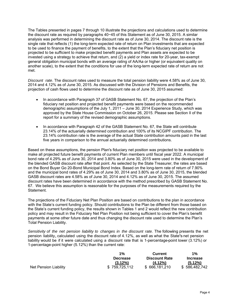The Tables presented in pages 7 through 10 illustrate the projections and calculations used to determine the discount rate as required by paragraphs 40−45 of this Statement as of June 30, 2015. A similar analysis was performed in determining the discount rate as of June 30, 2014. The discount rate is the single rate that reflects (1) the long-term expected rate of return on Plan investments that are expected to be used to finance the payment of benefits, to the extent that the Plan's fiduciary net position is projected to be sufficient to make projected benefit payments and Plan assets are expected to be invested using a strategy to achieve that return, and (2) a yield or index rate for 20-year, tax-exempt general obligation municipal bonds with an average rating of AA/Aa or higher (or equivalent quality on another scale), to the extent that the conditions for use of the long-term expected rate of return are not met.

*Discount rate*. The discount rates used to measure the total pension liability were 4.58% as of June 30, 2014 and 4.12% as of June 30, 2015. As discussed with the Division of Pensions and Benefits, the projection of cash flows used to determine the discount rate as of June 30, 2015 assumed:

- In accordance with Paragraph 37 of GASB Statement No. 67, the projection of the Plan's fiduciary net position and projected benefit payments were based on the recommended demographic assumptions of the July 1, 2011 – June 30, 2014 Experience Study, which was approved by the State House Commission on October 26, 2015. Please see Section II of the report for a summary of the revised demographic assumptions.
- In accordance with Paragraph 42 of the GASB Statement No. 67, the State will contribute 23.14% of the actuarially determined contribution and 100% of its NCGIPF contribution. The 23.14% contribution rate is the average of the actual State contribution amounts paid in the last five years in comparison to the annual actuarially determined contributions.

Based on these assumptions, the pension Plan's fiduciary net position was projected to be available to make all projected future benefit payments of current Plan members until fiscal year 2022. A municipal bond rate of 4.29% as of June 30, 2014 and 3.80% as of June 30, 2015 were used in the development of the blended GASB discount rate after that point. As selected by the State Treasurer, the rates are based on the Bond Buyer Go 20-Bond Municipal Bond Index. Based on the long-term rate of return of 7.90% and the municipal bond rates of 4.29% as of June 30, 2014 and 3.80% as of June 30, 2015, the blended GASB discount rates are 4.58% as of June 30, 2014 and 4.12% as of June 30, 2015. The assumed discount rates have been determined in accordance with the method prescribed by GASB Statement No. 67. We believe this assumption is reasonable for the purposes of the measurements required by the Statement.

The projections of the Fiduciary Net Plan Position are based on contributions to the plan in accordance with the State's current funding policy. Should contributions to the Plan be different from those based on the State's current funding policy, the results shown in Tables 1 and 2 would reflect the new contribution policy and may result in the Fiduciary Net Plan Position not being sufficient to cover the Plan's benefit payments at some other future date and thus changing the discount rate used to determine the Plan's Total Pension Liability.

Sensitivity of the net pension liability to changes in the discount rate. The following presents the net pension liability, calculated using the discount rate of 4.12%, as well as what the State's net pension liability would be if it were calculated using a discount rate that is 1-percentage-point lower (3.12%) or 1-percentage-point higher (5.12%) than the current rate:

|                       | $1\%$           | <b>Current</b>       | $1\%$           |
|-----------------------|-----------------|----------------------|-----------------|
|                       | <b>Decrease</b> | <b>Discount Rate</b> | <b>Increase</b> |
|                       | $(3.12\%)$      | $(4.12\%)$           | $(5.12\%)$      |
| Net Pension Liability | \$759,725,112   | \$666,181,210        | \$586,482,742   |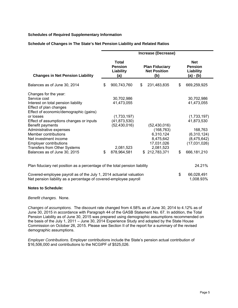#### **Schedules of Required Supplementary Information**

#### **Schedule of Changes in The State's Net Pension Liability and Related Ratios**

|                                                                                                                |    |                                                                                                           |    | Increase (Decrease) |                                                        |              |  |
|----------------------------------------------------------------------------------------------------------------|----|-----------------------------------------------------------------------------------------------------------|----|---------------------|--------------------------------------------------------|--------------|--|
| <b>Changes in Net Pension Liability</b>                                                                        |    | <b>Total</b><br><b>Plan Fiduciary</b><br><b>Pension</b><br><b>Net Position</b><br>Liability<br>(b)<br>(a) |    |                     | <b>Net</b><br><b>Pension</b><br>Liability<br>(a) - (b) |              |  |
| Balances as of June 30, 2014                                                                                   | \$ | 900,743,760                                                                                               | \$ | 231,483,835         | \$                                                     | 669,259,925  |  |
| Changes for the year:                                                                                          |    |                                                                                                           |    |                     |                                                        |              |  |
| Service cost                                                                                                   |    | 30,702,986                                                                                                |    |                     |                                                        | 30,702,986   |  |
| Interest on total pension liability                                                                            |    | 41,473,055                                                                                                |    |                     |                                                        | 41,473,055   |  |
| Effect of plan changes                                                                                         |    |                                                                                                           |    |                     |                                                        |              |  |
| Effect of economic/demographic (gains)                                                                         |    |                                                                                                           |    |                     |                                                        |              |  |
| or losses                                                                                                      |    | (1,733,197)                                                                                               |    |                     |                                                        | (1,733,197)  |  |
| Effect of assumptions changes or inputs                                                                        |    | (41, 873, 530)                                                                                            |    |                     |                                                        | 41,873,530   |  |
| Benefit payments                                                                                               |    | (52, 430, 016)                                                                                            |    | (52, 430, 016)      |                                                        |              |  |
| Administrative expenses                                                                                        |    |                                                                                                           |    | (168, 763)          |                                                        | 168,763      |  |
| Member contributions                                                                                           |    |                                                                                                           |    | 6,310,124           |                                                        | (6,310,124)  |  |
| Net investment income                                                                                          |    |                                                                                                           |    | 8,475,642           |                                                        | (8,475,642)  |  |
| <b>Employer contributions</b>                                                                                  |    |                                                                                                           |    | 17,031,026          |                                                        | (17,031,026) |  |
| <b>Transfers from Other Systems</b>                                                                            |    | 2,081,523                                                                                                 |    | 2,081,523           |                                                        |              |  |
| Balances as of June 30, 2015                                                                                   | \$ | 878,964,581                                                                                               |    | \$212,783,371       | \$                                                     | 666,181,210  |  |
| Plan fiduciary net position as a percentage of the total pension liability                                     |    |                                                                                                           |    |                     |                                                        | 24.21%       |  |
| Occasional constances are used as affiled the distribution of the state of the state of the state of the state |    |                                                                                                           |    |                     |                                                        | 00,000,004   |  |

Covered-employee payroll as of the July 1, 2014 actuarial valuation \$ 66,028,491 Net pension liability as a percentage of covered-employee payroll 1,008.93%

#### **Notes to Schedule:**

*Benefit changes.* None.

*Changes of assumptions.* The discount rate changed from 4.58% as of June 30, 2014 to 4.12% as of June 30, 2015 in accordance with Paragraph 44 of the GASB Statement No. 67. In addition, the Total Pension Liability as of June 30, 2015 was prepared using demographic assumptions recommended on the basis of the July 1, 2011 – June 30, 2014 Experience Study and adopted by the State House Commission on October 26, 2015. Please see Section II of the report for a summary of the revised demographic assumptions.

*Employer Contributions.* Employer contributions include the State's pension actual contribution of \$16,506,000 and contributions to the NCGIPF of \$525,026.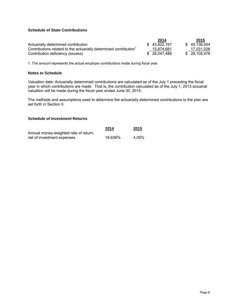#### **Schedule of State Contributions**

|                                                                               | 2014          | 2015          |
|-------------------------------------------------------------------------------|---------------|---------------|
| Actuarially determined contribution                                           | \$43.922.167  | \$45,136,504  |
| Contributions related to the actuarially determined contribution <sup>1</sup> | 15.874.681    | 17.031.026    |
| Contribution deficiency (excess)                                              | \$ 28.047.486 | \$ 28.105.478 |

1. The amount represents the actual employer contributions made during fiscal year.

#### **Notes to Schedule**

Valuation date: Actuarially determined contributions are calculated as of the July 1 preceding the fiscal year in which contributions are made. That is, the contribution calculated as of the July 1, 2013 actuarial valuation will be made during the fiscal year ended June 30, 2015.

The methods and assumptions used to determine the actuarially determined contributions to the plan are set forth in Section II.

#### **Schedule of Investment Returns**

|                                       | 2014    | 2015  |
|---------------------------------------|---------|-------|
| Annual money-weighted rate of return, |         |       |
| net of investment expenses            | 16.636% | 4.05% |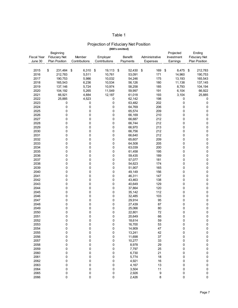#### Table 1

#### Projection of Fiduciary Net Position **(000's omitted)**

|                    | Beginning            |               |               |              |                | Projected   | Ending               |
|--------------------|----------------------|---------------|---------------|--------------|----------------|-------------|----------------------|
| <b>Fiscal Year</b> | <b>Fiduciary Net</b> | Member        | Employer      | Benefit      | Administrative | Investment  | <b>Fiduciary Net</b> |
| June 30            | Plan Position        | Contributions | Contributions | Payments     | Expenses       | Earnings    | Plan Position        |
|                    |                      |               |               |              |                |             |                      |
| 2015               | \$<br>231,484        | \$<br>6,310   | \$<br>19,113  | 52,430<br>\$ | 169<br>\$      | 8,475<br>\$ | 212,783<br>\$        |
| 2016               | 212,783              | 5,511         | 10,761        | 53,091       | 171            | 14,960      |                      |
|                    |                      |               |               |              |                |             | 190,753              |
| 2017               | 190,753              | 5,986         | 10,032        | 54,246       | 175            | 13,193      | 165,543              |
| 2018               | 165,543              | 6,236         | 10,534        | 56,126       | 180            | 11,138      | 137,145              |
| 2019               | 137,146              | 5,724         | 10,974        | 58,258       | 185            | 8,793       | 104,194              |
| 2020               | 104,192              | 5,265         | 11,549        | 59,997       | 191            | 6,104       | 66,922               |
| 2021               | 66,921               | 4,884         | 12,187        | 61,018       | 193            | 3,104       | 25,885               |
| 2022               | 25,885               | 4,523         | 0             | 62,142       | 198            | 0           | 0                    |
| 2023               | 0                    | 0             | 0             | 63,482       | 202            | 0           | $\pmb{0}$            |
| 2024               | 0                    | 0             | 0             | 64,769       | 206            | 0           | $\pmb{0}$            |
| 2025               | 0                    | 0             | 0             | 65,574       | 209            | 0           | 0                    |
|                    |                      |               |               |              |                |             |                      |
| 2026               | 0                    | 0             | 0             | 66,169       | 210            | 0           | 0                    |
| 2027               | 0                    | 0             | 0             | 66,687       | 212            | 0           | $\pmb{0}$            |
| 2028               | 0                    | 0             | 0             | 66,744       | 212            | 0           | $\pmb{0}$            |
| 2029               | 0                    | 0             | 0             | 66,970       | 213            | 0           | 0                    |
| 2030               | 0                    | 0             | 0             | 66,756       | 212            | 0           | $\mathbf 0$          |
| 2031               | 0                    | 0             | 0             | 66,640       | 212            | 0           | $\pmb{0}$            |
| 2032               | 0                    | 0             | 0             | 65,607       | 209            | 0           | $\pmb{0}$            |
| 2033               | 0                    | 0             | 0             | 64,508       | 205            | 0           | $\mathbf 0$          |
| 2034               | 0                    | 0             | 0             | 63,039       | 200            | 0           | $\pmb{0}$            |
| 2035               | 0                    | 0             | 0             | 61,458       | 195            | 0           | $\pmb{0}$            |
|                    |                      |               |               |              |                |             |                      |
| 2036               | 0                    | 0             | 0             | 59,435       | 189            | 0           | $\pmb{0}$            |
| 2037               | 0                    | 0             | 0             | 57,077       | 181            | 0           | $\pmb{0}$            |
| 2038               | 0                    | 0             | 0             | 54,623       | 174            | 0           | $\mathbf 0$          |
| 2039               | 0                    | 0             | 0             | 51,907       | 165            | 0           | $\mathbf 0$          |
| 2040               | 0                    | 0             | 0             | 49,149       | 156            | 0           | $\pmb{0}$            |
| 2041               | 0                    | 0             | 0             | 46,311       | 147            | 0           | 0                    |
| 2042               | 0                    | 0             | 0             | 43,463       | 138            | 0           | $\pmb{0}$            |
| 2043               | 0                    | 0             | 0             | 40,649       | 129            | 0           | $\pmb{0}$            |
| 2044               | 0                    | 0             | 0             | 37,864       | 120            | 0           | $\pmb{0}$            |
| 2045               | 0                    | 0             | 0             | 35,142       | 112            | 0           | $\pmb{0}$            |
| 2046               | 0                    | 0             | 0             | 32,485       | 103            | 0           | $\pmb{0}$            |
|                    |                      |               |               |              |                |             |                      |
| 2047               | 0                    | 0             | 0             | 29,914       | 95             | 0           | $\pmb{0}$            |
| 2048               | 0                    | 0             | 0             | 27,439       | 87             | 0           | $\pmb{0}$            |
| 2049               | 0                    | 0             | 0             | 25,066       | 80             | 0           | $\pmb{0}$            |
| 2050               | 0                    | 0             | 0             | 22,801       | 72             | 0           | $\pmb{0}$            |
| 2051               | 0                    | 0             | 0             | 20,649       | 66             | 0           | $\mathbf 0$          |
| 2052               | 0                    | 0             | 0             | 18,614       | 59             | 0           | $\mathbf 0$          |
| 2053               | 0                    | 0             | 0             | 16,700       | 53             | 0           | 0                    |
| 2054               | 0                    | 0             | 0             | 14,909       | 47             | 0           | 0                    |
| 2055               | 0                    | 0             | 0             | 13,241       | 42             | 0           | $\pmb{0}$            |
| 2056               | 0                    | 0             | 0             | 11,698       | 37             | 0           | $\pmb{0}$            |
| 2057               | 0                    |               | 0             |              | 33             | 0           | $\pmb{0}$            |
|                    |                      | 0             |               | 10,277       |                |             |                      |
| 2058               | 0                    | 0             | 0             | 8,978        | 29             | 0           | $\pmb{0}$            |
| 2059               | 0                    | 0             | 0             | 7,797        | 25             | 0           | $\pmb{0}$            |
| 2060               | 0                    | 0             | 0             | 6,730        | 21             | 0           | $\pmb{0}$            |
| 2061               | 0                    | 0             | 0             | 5,774        | 18             | 0           | $\pmb{0}$            |
| 2062               | 0                    | 0             | 0             | 4,921        | 16             | 0           | $\pmb{0}$            |
| 2063               | 0                    | 0             | 0             | 4,167        | 13             | 0           | $\mathbf 0$          |
| 2064               | 0                    | 0             | 0             | 3,504        | 11             | 0           | $\pmb{0}$            |
| 2065               | 0                    | $\pmb{0}$     | 0             | 2,926        | 9              | 0           | $\pmb{0}$            |
| 2066               | 0                    | 0             | 0             | 2,426        | 8              | 0           | $\pmb{0}$            |
|                    |                      |               |               |              |                |             |                      |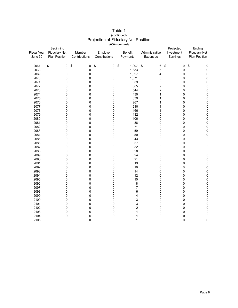| <b>Fiscal Year</b><br>June 30 | Beginning<br><b>Fiduciary Net</b><br><b>Plan Position</b> | Member<br>Contributions | Employer<br>Contributions | Benefit<br>Payments     | Administrative<br>Expenses | Projected<br>Investment<br>Earnings | Ending<br><b>Fiduciary Net</b><br>Plan Position |
|-------------------------------|-----------------------------------------------------------|-------------------------|---------------------------|-------------------------|----------------------------|-------------------------------------|-------------------------------------------------|
|                               |                                                           |                         |                           |                         |                            |                                     |                                                 |
| 2067                          | \$<br>0                                                   | \$<br>0                 | \$<br>0                   | \$<br>1,997             | \$<br>6                    | \$<br>0                             | \$<br>0                                         |
| 2068                          | 0                                                         | 0                       | 0                         | 1,633                   | 5                          | 0                                   | $\pmb{0}$                                       |
| 2069                          | 0                                                         | 0                       | 0                         | 1,327                   | 4                          | 0                                   | $\pmb{0}$                                       |
| 2070                          | 0                                                         | 0                       | 0                         | 1,071                   | 3                          | 0                                   | $\pmb{0}$                                       |
| 2071                          | 0                                                         | 0                       | 0                         | 859                     | 3                          | 0                                   | $\pmb{0}$                                       |
| 2072                          | 0                                                         | 0                       | 0                         | 685                     | $\overline{\mathbf{c}}$    | 0                                   | $\pmb{0}$                                       |
| 2073                          | 0                                                         | 0                       | 0                         | 544                     | $\overline{c}$             | 0                                   | $\pmb{0}$                                       |
| 2074                          | 0                                                         | $\mathbf 0$             | 0                         | 430                     | 1                          | 0                                   | $\pmb{0}$                                       |
| 2075                          | 0                                                         | 0                       | 0                         | 339                     | 1                          | 0                                   | $\pmb{0}$                                       |
| 2076                          | 0                                                         | $\mathbf 0$             | 0                         | 267                     | 1                          | $\mathbf 0$                         | $\pmb{0}$                                       |
| 2077                          | 0                                                         | 0                       | 0                         | 210                     | 1                          | 0                                   | 0                                               |
| 2078                          | 0                                                         | 0                       | 0                         | 166                     | 1                          | 0                                   | $\mathsf 0$                                     |
| 2079                          | 0                                                         | 0                       | 0                         | 132                     | 0                          | 0                                   | $\pmb{0}$                                       |
| 2080                          | 0                                                         | 0                       | 0                         | 106                     | 0                          | 0                                   | $\pmb{0}$                                       |
| 2081                          | 0                                                         | 0                       | 0                         | 86                      | 0                          | 0                                   | $\pmb{0}$                                       |
| 2082                          | 0                                                         | 0                       | 0                         | 71                      | 0                          | 0                                   | $\pmb{0}$                                       |
| 2083                          | 0                                                         | 0                       | 0                         | 59                      | 0                          | 0                                   | $\pmb{0}$                                       |
| 2084                          | 0                                                         | $\pmb{0}$               | 0                         | 50                      | 0                          | 0                                   | $\pmb{0}$                                       |
| 2085                          | 0                                                         | 0                       | 0                         | 43                      | 0                          | 0                                   | $\pmb{0}$                                       |
| 2086                          | 0                                                         | 0                       | 0                         | 37                      | 0                          | 0                                   | $\pmb{0}$                                       |
| 2087                          | 0                                                         | 0                       | 0                         | 32                      | 0                          | 0                                   | $\pmb{0}$                                       |
| 2088                          | 0                                                         | $\mathbf 0$             | 0                         | 28                      | 0                          | $\mathbf 0$                         | $\pmb{0}$                                       |
| 2089                          | 0                                                         | 0                       | 0                         | 24                      | 0                          | 0                                   | $\pmb{0}$                                       |
| 2090                          | 0                                                         | 0                       | 0                         | 21                      | 0                          | 0                                   | $\pmb{0}$                                       |
| 2091                          | 0                                                         | 0                       | 0                         | 19                      | 0                          | 0                                   | $\mathsf 0$                                     |
| 2092                          | 0                                                         | 0                       | 0                         | 16                      | 0                          | 0                                   | $\pmb{0}$                                       |
| 2093                          | 0                                                         | 0                       | 0                         | 14                      | 0                          | 0                                   | $\mathbf 0$                                     |
| 2094                          | 0                                                         | 0                       | 0                         | 12                      | 0                          | 0                                   | $\pmb{0}$                                       |
| 2095                          | 0                                                         | $\mathbf 0$             | 0                         | 10                      | 0                          | 0                                   | $\pmb{0}$                                       |
| 2096                          | 0                                                         | $\pmb{0}$               | 0                         | 8                       | 0                          | 0                                   | $\pmb{0}$                                       |
| 2097                          | 0                                                         | 0                       | 0                         | $\overline{7}$          | 0                          | 0                                   | $\pmb{0}$                                       |
| 2098                          | 0                                                         | 0                       | 0                         | 6                       | 0                          | 0                                   | $\pmb{0}$                                       |
| 2099                          | 0                                                         | 0                       | 0                         | 4                       | 0                          | 0                                   | $\pmb{0}$                                       |
| 2100                          | 0                                                         | 0                       | 0                         | 3                       | 0                          | $\mathbf 0$                         | $\mathbf 0$                                     |
| 2101                          | 0                                                         | $\mathbf 0$             | 0                         | 3                       | 0                          | 0                                   | $\pmb{0}$                                       |
| 2102                          | 0                                                         | 0                       | 0                         | $\overline{\mathbf{c}}$ | 0                          | 0                                   | $\pmb{0}$                                       |
| 2103                          | 0                                                         | 0                       | 0                         | 1                       | 0                          | 0                                   | $\pmb{0}$                                       |
| 2104                          | 0                                                         | 0<br>$\Omega$           | 0                         | 1                       | 0                          | 0                                   | $\pmb{0}$                                       |
| 2105                          | 0                                                         |                         | 0                         | 1                       | 0                          | $\mathbf 0$                         | $\pmb{0}$                                       |

#### Table 1 Projection of Fiduciary Net Position **(000's omitted)** (continued)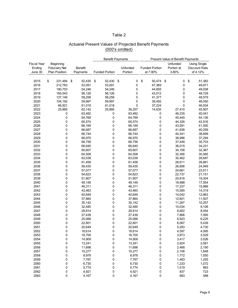### Table 2

| Actuarial Present Values of Projected Benefit Payments |
|--------------------------------------------------------|
| (000's omitted)                                        |

|                    |                      |                | <b>Benefit Payments</b> |          |                       | Present Value of Benefit Payments |                      |
|--------------------|----------------------|----------------|-------------------------|----------|-----------------------|-----------------------------------|----------------------|
| <b>Fiscal Year</b> | Beginning            |                |                         |          |                       | Unfunded                          | <b>Using Single</b>  |
| Ending             | <b>Fiduciary Net</b> | <b>Benefit</b> |                         | Unfunded | <b>Funded Portion</b> | Portion at                        | <b>Discount Rate</b> |
| June 30            | <b>Plan Position</b> | Payments       | <b>Funded Portion</b>   | Portion  | at 7.90%              | 3.80%                             | of 4.12%             |
|                    |                      |                |                         |          |                       |                                   |                      |
| 2015               | \$<br>231,484        | \$<br>52,430   | \$<br>52,430            | \$<br>0  | \$<br>50,474          | 0<br>\$                           | \$<br>51,382         |
| 2016               | 212,783              | 53,091         | 53,091                  | 0        | 47,369                | 0                                 | 49,971               |
| 2017               | 190,753              | 54,246         | 54,246                  | 0        | 44,855                | 0                                 | 49,038               |
| 2018               | 165,543              | 56,126         | 56,126                  | 0        | 43,012                | 0                                 | 48,729               |
| 2019               | 137,146              | 58,258         | 58,258                  | 0        | 41,377                | 0                                 | 48,579               |
| 2020               | 104,192              | 59,997         | 59,997                  | 0        | 39,492                | 0                                 | 48,050               |
| 2021               | 66,921               | 61,018         | 61,018                  | 0        | 37,224                | 0                                 | 46,934               |
| 2022               | 25,885               | 62,142         | 25,885                  | 36,257   | 14,635                | 27,410                            | 45,907               |
| 2023               | 0                    | 63,482         | 0                       | 63,482   | 0                     | 46,235                            | 45,041               |
| 2024               | 0                    | 64,769         | 0                       | 64,769   | 0                     | 45,445                            | 44,136               |
| 2025               | 0                    | 65,574         | 0                       | 65,574   | 0                     | 44,326                            | 42,916               |
| 2026               | 0                    | 66,169         | 0                       | 66,169   | 0                     | 43,091                            | 41,592               |
| 2027               | 0                    | 66,687         | 0                       | 66,687   | 0                     | 41,838                            | 40,259               |
| 2028               | 0                    | 66,744         | 0                       | 66,744   | 0                     | 40,341                            | 38,699               |
| 2029               | 0                    | 66,970         | 0                       | 66,970   | 0                     | 38,996                            | 37,294               |
|                    | 0                    |                | 0                       |          | 0                     |                                   |                      |
| 2030               |                      | 66,756         |                         | 66,756   |                       | 37,448                            | 35,703               |
| 2031               | 0                    | 66,640         | 0                       | 66,640   | 0                     | 36,015                            | 34,231               |
| 2032               | 0                    | 65,607         | 0                       | 65,607   | 0                     | 34,158                            | 32,367               |
| 2033               | 0                    | 64,508         | 0                       | 64,508   | 0                     | 32,356                            | 30,565               |
| 2034               | 0                    | 63,039         | 0                       | 63,039   | 0                     | 30,462                            | 28,687               |
| 2035               | 0                    | 61,458         | 0                       | 61,458   | 0                     | 28,611                            | 26,861               |
| 2036               | 0                    | 59,435         | 0                       | 59,435   | 0                     | 26,656                            | 24,949               |
| 2037               | 0                    | 57,077         | 0                       | 57,077   | 0                     | 24,661                            | 23,011               |
| 2038               | 0                    | 54,623         | 0                       | 54,623   | 0                     | 22,737                            | 21,151               |
| 2039               | 0                    | 51,907         | 0                       | 51,907   | 0                     | 20,816                            | 19,304               |
| 2040               | 0                    | 49,149         | 0                       | 49,149   | 0                     | 18,988                            | 17,554               |
| 2041               | 0                    | 46,311         | 0                       | 46,311   | 0                     | 17,237                            | 15,886               |
| 2042               | 0                    | 43,463         | 0                       | 43,463   | 0                     | 15,585                            | 14,319               |
| 2043               | 0                    | 40,649         | 0                       | 40,649   | 0                     | 14,042                            | 12,863               |
| 2044               | 0                    | 37,864         | 0                       | 37,864   | 0                     | 12,601                            | 11,507               |
| 2045               | 0                    | 35,142         | 0                       | 35,142   | 0                     | 11,267                            | 10,257               |
| 2046               | 0                    | 32,485         | 0                       | 32,485   | 0                     | 10,034                            | 9,106                |
| 2047               | 0                    | 29,914         | 0                       | 29,914   | 0                     | 8,902                             | 8,054                |
| 2048               | 0                    | 27,439         | 0                       | 27,439   | 0                     | 7,866                             | 7,095                |
| 2049               | 0                    | 25,066         | 0                       | 25,066   | 0                     | 6,923                             | 6,225                |
| 2050               | 0                    | 22,801         | 0                       | 22,801   | 0                     | 6,067                             | 5,439                |
| 2051               | 0                    | 20,649         | 0                       | 20,649   | 0                     | 5,293                             | 4,730                |
| 2052               | 0                    | 18,614         | 0                       | 18,614   | 0                     | 4,597                             | 4,095                |
| 2053               | 0                    | 16,700         | 0                       | 16,700   | 0                     | 3,973                             | 3,529                |
| 2054               | 0                    | 14,909         | 0                       | 14,909   | 0                     | 3,417                             | 3,026                |
| 2055               | 0                    | 13,241         | 0                       | 13,241   | 0                     | 2,924                             | 2,581                |
| 2056               | 0                    | 11,698         | 0                       | 11,698   | 0                     | 2,488                             | 2,190                |
| 2057               | 0                    | 10,277         | 0                       | 10,277   | 0                     | 2,106                             | 1,848                |
| 2058               | 0                    | 8,978          | 0                       | 8,978    | 0                     | 1,772                             | 1,550                |
| 2059               | 0                    | 7,797          | 0                       | 7,797    | 0                     | 1,483                             | 1,293                |
| 2060               | 0                    | 6,730          | 0                       | 6,730    | 0                     | 1,233                             | 1,072                |
| 2061               | 0                    | 5,774          | 0                       | 5,774    | 0                     | 1,019                             | 883                  |
| 2062               | 0                    | 4,921          | 0                       | 4,921    | 0                     | 837                               | 723                  |
| 2063               | 0                    | 4,167          | 0                       | 4,167    | 0                     | 683                               | 588                  |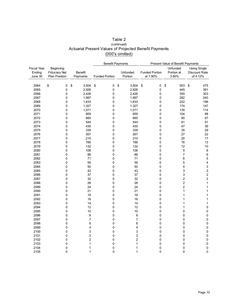#### Table 2 Actuarial Present Values of Projected Benefit Payments (000's omitted) (continued)

|                    |                      |                | <b>Benefit Payments</b> |                | Present Value of Benefit Payments |                         |                         |
|--------------------|----------------------|----------------|-------------------------|----------------|-----------------------------------|-------------------------|-------------------------|
| <b>Fiscal Year</b> | Beginning            |                |                         |                |                                   | Unfunded                | <b>Using Single</b>     |
| Ending             | <b>Fiduciary Net</b> | <b>Benefit</b> |                         | Unfunded       | <b>Funded Portion</b>             | Portion at              | Discount Rate           |
| June 30            | <b>Plan Position</b> | Payments       | <b>Funded Portion</b>   | Portion        | at 7.90%                          | 3.80%                   | of 4.12%                |
|                    |                      |                |                         |                |                                   |                         |                         |
| 2064               | \$<br>0              | \$<br>3,504    | \$<br>0                 | \$<br>3,504    | \$<br>0                           | \$<br>553               | \$<br>475               |
| 2065               | 0                    | 2,926          | 0                       | 2,926          | 0                                 | 445                     | 381                     |
| 2066               | 0                    | 2,426          | 0                       | 2,426          | 0                                 | 355                     | 303                     |
| 2067               | 0                    | 1,997          | 0                       | 1,997          | 0                                 | 282                     | 240                     |
| 2068               | 0                    | 1,633          | 0                       | 1,633          | 0                                 | 222                     | 188                     |
| 2069               | $\pmb{0}$            | 1,327          | 0                       | 1,327          | 0                                 | 174                     | 147                     |
| 2070               | 0                    | 1,071          | 0                       | 1,071          | 0                                 | 135                     | 114                     |
| 2071               | 0                    | 859            | 0                       | 859            | 0                                 | 104                     | 88                      |
| 2072               | 0                    | 685            | 0                       | 685            | 0                                 | 80                      | 67                      |
| 2073               | 0                    | 544            | 0                       | 544            | 0                                 | 61                      | 51                      |
| 2074               | 0                    | 430            | 0                       | 430            | 0                                 | 47                      | 39                      |
| 2075               | 0                    | 339            | 0                       | 339            | 0                                 | 35                      | 29                      |
| 2076               | 0                    | 267            | 0                       | 267            | 0                                 | 27                      | 22                      |
| 2077               | 0                    | 210            | 0                       | 210            | 0                                 | 20                      | 17                      |
| 2078               | 0                    | 166            | 0                       | 166            | 0                                 | 16                      | 13                      |
| 2079               | 0                    | 132            | 0                       | 132            | 0                                 | 12                      | 10                      |
| 2080               | 0                    | 106            | 0                       | 106            | 0                                 | 9                       | $\bf 8$                 |
| 2081               | 0                    | 86             | 0                       | 86             | 0                                 | $\overline{7}$          | $\,6\,$                 |
| 2082               | 0                    | 71             | 0                       | 71             | 0                                 | 6                       | 5                       |
| 2083               | 0                    | 59             | 0                       | 59             | 0                                 | 5                       | $\overline{\mathbf{4}}$ |
| 2084               | 0                    | 50             | 0                       | 50             | 0                                 | 4                       | 3                       |
| 2085               | 0                    | 43             | 0                       | 43             | 0                                 | 3                       | 3                       |
| 2086               | 0                    | 37             | 0                       | 37             | 0                                 | 3                       | $\overline{\mathbf{c}}$ |
| 2087               | 0                    | 32             | 0                       | 32             | 0                                 | $\overline{\mathbf{c}}$ | $\mathbf 2$             |
| 2088               | 0                    | 28             | 0                       | 28             | 0                                 | $\overline{\mathbf{c}}$ | $\mathbf{1}$            |
| 2089               | 0                    | 24             | 0                       | 24             | 0                                 | $\overline{c}$          | $\mathbf{1}$            |
| 2090               | 0                    | 21             | 0                       | 21             | 0                                 | 1                       | $\mathbf{1}$            |
| 2091               | 0                    | 19             | 0                       | 19             | 0                                 | 1                       | $\mathbf{1}$            |
| 2092               | 0                    | 16             | 0                       | 16             | 0                                 | 1                       | $\mathbf{1}$            |
| 2093               | 0                    | 14             | 0                       | 14             | 0                                 | 1                       | $\mathbf{1}$            |
| 2094               | 0                    | 12             | 0                       | 12             | 0                                 | 1                       | $\mathbf 0$             |
| 2095               | 0                    | 10             | 0                       | 10             | 0                                 | $\pmb{0}$               | $\mathbf 0$             |
| 2096               | 0                    | 8              | 0                       | 8              | 0                                 | 0                       | $\mathbf 0$             |
| 2097               | $\pmb{0}$            | $\overline{7}$ | 0                       | $\overline{7}$ | 0                                 | $\pmb{0}$               | $\mathbf 0$             |
| 2098               | 0                    | 6              | 0                       | 6              | 0                                 | $\pmb{0}$               | $\pmb{0}$               |
| 2099               | $\mathbf 0$          | 4              | 0                       | $\overline{4}$ | 0                                 | $\mathbf 0$             | $\mathbf 0$             |
| 2100               | $\mathbf 0$          | 3              | 0                       | 3              | 0                                 | 0                       | $\mathsf 0$             |
| 2101               | 0                    | 3              | 0                       | 3              | 0                                 | 0                       | $\mathsf 0$             |
| 2102               | 0                    | $\overline{2}$ | 0                       | $\overline{c}$ | 0                                 | 0                       | $\mathbf 0$             |
| 2103               | 0                    | 1              | 0                       | 1              | 0                                 | 0                       | $\pmb{0}$               |
| 2104               | 0                    | 1              | 0                       | 1              | 0                                 | 0                       | $\pmb{0}$               |
| 2105               | 0                    | 1              | 0                       | 1              | 0                                 | 0                       | $\mathbf 0$             |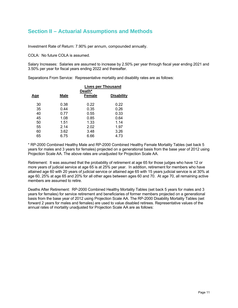## **Section II – Actuarial Assumptions and Methods**

Investment Rate of Return: 7.90% per annum, compounded annually.

COLA: No future COLA is assumed.

Salary Increases: Salaries are assumed to increase by 2.50% per year through fiscal year ending 2021 and 3.50% per year for fiscal years ending 2022 and thereafter.

Separations From Service: Representative mortality and disability rates are as follows:

|            |             | <b>Lives per Thousand</b><br>Death* |                   |
|------------|-------------|-------------------------------------|-------------------|
| <u>Age</u> | <b>Male</b> | Female                              | <b>Disability</b> |
| 30         | 0.38        | 0.22                                | 0.22              |
| 35         | 0.44        | 0.35                                | 0.26              |
| 40         | 0.77        | 0.55                                | 0.33              |
| 45         | 1.08        | 0.85                                | 0.64              |
| 50         | 1.51        | 1.33                                | 1.14              |
| 55         | 2.14        | 2.02                                | 1.97              |
| 60         | 3.62        | 3.48                                | 3.26              |
| 65         | 6.75        | 6.66                                | 4.73              |

\* RP-2000 Combined Healthy Male and RP-2000 Combined Healthy Female Mortality Tables (set back 5 years for males and 3 years for females) projected on a generational basis from the base year of 2012 using Projection Scale AA. The above rates are unadjusted for Projection Scale AA.

Retirement: It was assumed that the probability of retirement at age 65 for those judges who have 12 or more years of judicial service at age 65 is at 25% per year. In addition, retirement for members who have attained age 60 with 20 years of judicial service or attained age 65 with 15 years judicial service is at 30% at age 60, 25% at age 65 and 20% for all other ages between ages 60 and 70. At age 70, all remaining active members are assumed to retire.

Deaths After Retirement: RP-2000 Combined Healthy Mortality Tables (set back 5 years for males and 3 years for females) for service retirement and beneficiaries of former members projected on a generational basis from the base year of 2012 using Projection Scale AA. The RP-2000 Disability Mortality Tables (set forward 2 years for males and females) are used to value disabled retirees. Representative values of the annual rates of mortality unadjusted for Projection Scale AA are as follows: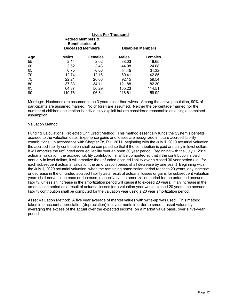|                  |              | <b>Lives Per Thousand</b><br><b>Retired Members &amp;</b><br><b>Beneficiaries of</b><br><b>Deceased Members</b> |              | <b>Disabled Members</b> |
|------------------|--------------|-----------------------------------------------------------------------------------------------------------------|--------------|-------------------------|
|                  | <b>Males</b> | <b>Females</b>                                                                                                  | <b>Males</b> | <b>Females</b>          |
| <u>Age</u><br>55 | 2.14         | 2.02                                                                                                            | 38.03        | 18.65                   |
| 60               | 3.62         | 3.48                                                                                                            | 44.98        | 24.08                   |
| 65               | 6.75         | 6.66                                                                                                            | 54.45        | 31.32                   |
| 70               | 12.74        | 12.16                                                                                                           | 69.41        | 42.85                   |
| 75               | 22.21        | 20.66                                                                                                           | 92.15        | 59.54                   |
| 80               | 37.83        | 34.11                                                                                                           | 121.88       | 82.30                   |
| 85               | 64.37        | 56.29                                                                                                           | 155.23       | 114.51                  |
| 90               | 110.76       | 96.34                                                                                                           | 216.61       | 159.92                  |

Marriage: Husbands are assumed to be 3 years older than wives. Among the active population, 90% of participants are assumed married. No children are assumed. Neither the percentage married nor the number of children assumption is individually explicit but are considered reasonable as a single combined assumption.

#### Valuation Method:

Funding Calculations: Projected Unit Credit Method. This method essentially funds the System's benefits accrued to the valuation date. Experience gains and losses are recognized in future accrued liability contributions. In accordance with Chapter 78, P.L. 2011, beginning with the July 1, 2010 actuarial valuation, the accrued liability contribution shall be computed so that if the contribution is paid annually in level dollars, it will amortize the unfunded accrued liability over an open 30 year period. Beginning with the July 1, 2019 actuarial valuation, the accrued liability contribution shall be computed so that if the contribution is paid annually in level dollars, it will amortize the unfunded accrued liability over a closed 30 year period (i.e., for each subsequent actuarial valuation the amortization period shall decrease by one year.) Beginning with the July 1, 2029 actuarial valuation, when the remaining amortization period reaches 20 years, any increase or decrease in the unfunded accrued liability as a result of actuarial losses or gains for subsequent valuation years shall serve to increase or decrease, respectively, the amortization period for the unfunded accrued liability, unless an increase in the amortization period will cause it to exceed 20 years. If an increase in the amortization period as a result of actuarial losses for a valuation year would exceed 20 years, the accrued liability contribution shall be computed for the valuation year using a 20 year amortization period.

Asset Valuation Method: A five year average of market values with write-up was used. This method takes into account appreciation (depreciation) in investments in order to smooth asset values by averaging the excess of the actual over the expected income, on a market value basis, over a five-year period.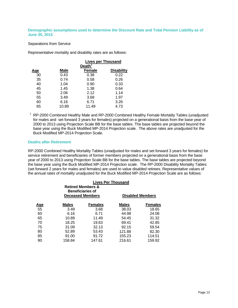#### **Demographic assumptions used to determine the Discount Rate and Total Pension Liability as of June 30, 2015**

#### Separations from Service

Representative mortality and disability rates are as follows:

|            |             | <b>Lives per Thousand</b> |                   |
|------------|-------------|---------------------------|-------------------|
|            |             | Death <sup>1</sup>        |                   |
| <u>Age</u> | <b>Male</b> | <b>Female</b>             | <b>Disability</b> |
| 30         | 0.43        | 0.38                      | 0.22              |
| 35         | 0.74        | 0.58                      | 0.26              |
| 40         | 1.04        | 0.90                      | 0.33              |
| 45         | 1.45        | 1.38                      | 0.64              |
| 50         | 2.06        | 2.12                      | 1.14              |
| 55         | 3.49        | 3.68                      | 1.97              |
| 60         | 6.16        | 6.71                      | 3.26              |
| 65         | 10.89       | 11.49                     | 4.73              |

<sup>1</sup> RP-2000 Combined Healthy Male and RP-2000 Combined Healthy Female Mortality Tables (unadjusted for males and set forward 3 years for females) projected on a generational basis from the base year of 2000 to 2013 using Projection Scale BB for the base tables. The base tables are projected beyond the base year using the Buck Modified MP-2014 Projection scale. The above rates are unadjusted for the Buck Modified MP-2014 Projection Scale.

#### **Deaths after Retirement**

RP-2000 Combined Healthy Mortality Tables (unadjusted for males and set forward 3 years for females) for service retirement and beneficiaries of former members projected on a generational basis from the base year of 2000 to 2013 using Projection Scale BB for the base tables. The base tables are projected beyond the base year using the Buck Modified MP-2014 Projection scale. The RP-2000 Disability Mortality Tables (set forward 2 years for males and females) are used to value disabled retirees. Representative values of the annual rates of mortality unadjusted for the Buck Modified MP-2014 Projection Scale are as follows:

| <b>Retired Members &amp;</b><br><b>Beneficiaries of</b><br><b>Deceased Members</b> |              |                | <b>Lives Per Thousand</b><br><b>Disabled Members</b> |                |  |
|------------------------------------------------------------------------------------|--------------|----------------|------------------------------------------------------|----------------|--|
| <u>Age</u>                                                                         | <b>Males</b> | <b>Females</b> | <b>Males</b>                                         | <b>Females</b> |  |
| 55                                                                                 | 3.49         | 3.68           | 38.03                                                | 18.65          |  |
| 60                                                                                 | 6.16         | 6.71           | 44.98                                                | 24.08          |  |
| 65                                                                                 | 10.89        | 11.49          | 54.45                                                | 31.32          |  |
| 70                                                                                 | 18.25        | 19.63          | 69.41                                                | 42.85          |  |
| 75                                                                                 | 31.09        | 32.13          | 92.15                                                | 59.54          |  |
| 80                                                                                 | 52.89        | 53.43          | 121.88                                               | 82.30          |  |
| 85                                                                                 | 91.00        | 91.72          | 155.23                                               | 114.51         |  |
| 90                                                                                 | 158.84       | 147.61         | 216.61                                               | 159.92         |  |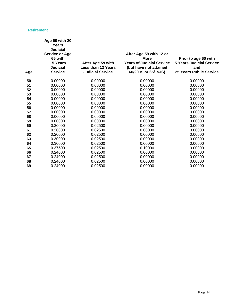#### **Retirement**

| Age | Age 60 with 20<br>Years<br><b>Judicial</b><br><b>Service or Age</b><br>65 with<br>15 Years<br><b>Judicial</b><br><b>Service</b> | After Age 59 with<br><b>Less than 12 Years</b><br><b>Judicial Service</b> | After Age 59 with 12 or<br><b>More</b><br><b>Years of Judicial Service</b><br>(but have not attained<br>60/20JS or 65/15JS) | Prior to age 60 with<br><b>5 Years Judicial Service</b><br>and<br>25 Years Public Service |
|-----|---------------------------------------------------------------------------------------------------------------------------------|---------------------------------------------------------------------------|-----------------------------------------------------------------------------------------------------------------------------|-------------------------------------------------------------------------------------------|
| 50  | 0.00000                                                                                                                         | 0.00000                                                                   | 0.00000                                                                                                                     | 0.00000                                                                                   |
| 51  | 0.00000                                                                                                                         | 0.00000                                                                   | 0.00000                                                                                                                     | 0.00000                                                                                   |
| 52  | 0.00000                                                                                                                         | 0.00000                                                                   | 0.00000                                                                                                                     | 0.00000                                                                                   |
| 53  | 0.00000                                                                                                                         | 0.00000                                                                   | 0.00000                                                                                                                     | 0.00000                                                                                   |
| 54  | 0.00000                                                                                                                         | 0.00000                                                                   | 0.00000                                                                                                                     | 0.00000                                                                                   |
| 55  | 0.00000                                                                                                                         | 0.00000                                                                   | 0.00000                                                                                                                     | 0.00000                                                                                   |
| 56  | 0.00000                                                                                                                         | 0.00000                                                                   | 0.00000                                                                                                                     | 0.00000                                                                                   |
| 57  | 0.00000                                                                                                                         | 0.00000                                                                   | 0.00000                                                                                                                     | 0.00000                                                                                   |
| 58  | 0.00000                                                                                                                         | 0.00000                                                                   | 0.00000                                                                                                                     | 0.00000                                                                                   |
| 59  | 0.00000                                                                                                                         | 0.00000                                                                   | 0.00000                                                                                                                     | 0.00000                                                                                   |
| 60  | 0.30000                                                                                                                         | 0.02500                                                                   | 0.00000                                                                                                                     | 0.00000                                                                                   |
| 61  | 0.20000                                                                                                                         | 0.02500                                                                   | 0.00000                                                                                                                     | 0.00000                                                                                   |
| 62  | 0.20000                                                                                                                         | 0.02500                                                                   | 0.00000                                                                                                                     | 0.00000                                                                                   |
| 63  | 0.30000                                                                                                                         | 0.02500                                                                   | 0.00000                                                                                                                     | 0.00000                                                                                   |
| 64  | 0.30000                                                                                                                         | 0.02500                                                                   | 0.00000                                                                                                                     | 0.00000                                                                                   |
| 65  | 0.37500                                                                                                                         | 0.02500                                                                   | 0.10000                                                                                                                     | 0.00000                                                                                   |
| 66  | 0.24000                                                                                                                         | 0.02500                                                                   | 0.00000                                                                                                                     | 0.00000                                                                                   |
| 67  | 0.24000                                                                                                                         | 0.02500                                                                   | 0.00000                                                                                                                     | 0.00000                                                                                   |
| 68  | 0.24000                                                                                                                         | 0.02500                                                                   | 0.00000                                                                                                                     | 0.00000                                                                                   |
| 69  | 0.24000                                                                                                                         | 0.02500                                                                   | 0.00000                                                                                                                     | 0.00000                                                                                   |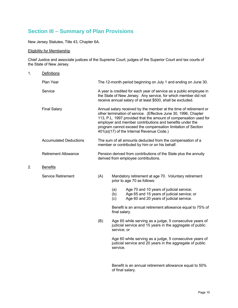## **Section III – Summary of Plan Provisions**

New Jersey Statutes, Title 43, Chapter 6A.

#### Eligibility for Membership

Chief Justice and associate justices of the Supreme Court, judges of the Superior Court and tax courts of the State of New Jersey.

| 1. | <b>Definitions</b>            |     |                                                                                                              |                                                                                                                                                                                                                                                                                                                                                                                   |  |
|----|-------------------------------|-----|--------------------------------------------------------------------------------------------------------------|-----------------------------------------------------------------------------------------------------------------------------------------------------------------------------------------------------------------------------------------------------------------------------------------------------------------------------------------------------------------------------------|--|
|    | Plan Year                     |     |                                                                                                              | The 12-month period beginning on July 1 and ending on June 30.                                                                                                                                                                                                                                                                                                                    |  |
|    | Service                       |     |                                                                                                              | A year is credited for each year of service as a public employee in<br>the State of New Jersey. Any service, for which member did not<br>receive annual salary of at least \$500, shall be excluded.                                                                                                                                                                              |  |
|    | <b>Final Salary</b>           |     |                                                                                                              | Annual salary received by the member at the time of retirement or<br>other termination of service. (Effective June 30, 1996, Chapter<br>113, P.L. 1997 provided that the amount of compensation used for<br>employer and member contributions and benefits under the<br>program cannot exceed the compensation limitation of Section<br>401(a)(17) of the Internal Revenue Code.) |  |
|    | <b>Accumulated Deductions</b> |     | The sum of all amounts deducted from the compensation of a<br>member or contributed by him or on his behalf. |                                                                                                                                                                                                                                                                                                                                                                                   |  |
|    | <b>Retirement Allowance</b>   |     |                                                                                                              | Pension derived from contributions of the State plus the annuity<br>derived from employee contributions.                                                                                                                                                                                                                                                                          |  |
| 2. | <b>Benefits</b>               |     |                                                                                                              |                                                                                                                                                                                                                                                                                                                                                                                   |  |
|    | <b>Service Retirement</b>     | (A) | Mandatory retirement at age 70. Voluntary retirement<br>prior to age 70 as follows:                          |                                                                                                                                                                                                                                                                                                                                                                                   |  |
|    |                               |     | (a)<br>(b)<br>(c)                                                                                            | Age 70 and 10 years of judicial service;<br>Age 65 and 15 years of judicial service; or<br>Age 60 and 20 years of judicial service.                                                                                                                                                                                                                                               |  |
|    |                               |     | Benefit is an annual retirement allowance equal to 75% of<br>final salary.                                   |                                                                                                                                                                                                                                                                                                                                                                                   |  |
|    |                               | (B) | service; or                                                                                                  | Age 65 while serving as a judge, 5 consecutive years of<br>judicial service and 15 years in the aggregate of public                                                                                                                                                                                                                                                               |  |
|    |                               |     | service.                                                                                                     | Age 60 while serving as a judge, 5 consecutive years of<br>judicial service and 20 years in the aggregate of public                                                                                                                                                                                                                                                               |  |
|    |                               |     |                                                                                                              | Benefit is an annual retirement allowance equal to 50%<br>of final salary.                                                                                                                                                                                                                                                                                                        |  |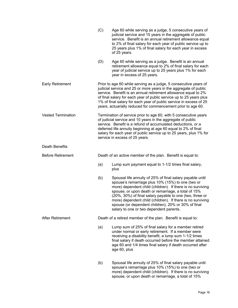|                           | (C) | Age 60 while serving as a judge, 5 consecutive years of<br>judicial service and 15 years in the aggregate of public<br>service. Benefit is an annual retirement allowance equal<br>to 2% of final salary for each year of public service up to<br>25 years plus 1% of final salary for each year in excess<br>of 25 years.                                                                                                                                      |
|---------------------------|-----|-----------------------------------------------------------------------------------------------------------------------------------------------------------------------------------------------------------------------------------------------------------------------------------------------------------------------------------------------------------------------------------------------------------------------------------------------------------------|
|                           | (D) | Age 60 while serving as a judge. Benefit is an annual<br>retirement allowance equal to 2% of final salary for each<br>year of judicial service up to 25 years plus 1% for each<br>year in excess of 25 years.                                                                                                                                                                                                                                                   |
| <b>Early Retirement</b>   |     | Prior to age 60 while serving as a judge, 5 consecutive years of<br>judicial service and 25 or more years in the aggregate of public<br>service. Benefit is an annual retirement allowance equal to 2%<br>of final salary for each year of public service up to 25 years plus<br>1% of final salary for each year of public service in excess of 25<br>years, actuarially reduced for commencement prior to age 60.                                             |
| <b>Vested Termination</b> |     | Termination of service prior to age 60, with 5 consecutive years<br>of judicial service and 10 years in the aggregate of public<br>service. Benefit is a refund of accumulated deductions, or a<br>deferred life annuity beginning at age 60 equal to 2% of final<br>salary for each year of public service up to 25 years, plus 1% for<br>service in excess of 25 years.                                                                                       |
| <b>Death Benefits</b>     |     |                                                                                                                                                                                                                                                                                                                                                                                                                                                                 |
| <b>Before Retirement</b>  |     | Death of an active member of the plan. Benefit is equal to:                                                                                                                                                                                                                                                                                                                                                                                                     |
|                           | (a) | Lump sum payment equal to 1-1/2 times final salary,<br>plus                                                                                                                                                                                                                                                                                                                                                                                                     |
|                           | (b) | Spousal life annuity of 25% of final salary payable until<br>spouse's remarriage plus 10% (15%) to one (two or<br>more) dependent child (children). If there is no surviving<br>spouse, or upon death or remarriage, a total of 15%<br>(20%, 30%) of final salary payable to one (two, three or<br>more) dependent child (children). If there is no surviving<br>spouse (or dependent children), 20% or 30% of final<br>salary to one or two dependent parents. |
| <b>After Retirement</b>   |     | Death of a retired member of the plan. Benefit is equal to:                                                                                                                                                                                                                                                                                                                                                                                                     |
|                           | (a) | Lump sum of 25% of final salary for a member retired<br>under normal or early retirement. If a member were<br>receiving a disability benefit, a lump sum 1-1/2 times<br>final salary if death occurred before the member attained<br>age 60 and 1/4 times final salary if death occurred after<br>age 60, plus                                                                                                                                                  |
|                           | (b) | Spousal life annuity of 25% of final salary payable until<br>spouse's remarriage plus 10% (15%) to one (two or<br>more) dependent child (children). If there is no surviving                                                                                                                                                                                                                                                                                    |

spouse, or upon death or remarriage, a total of 15%